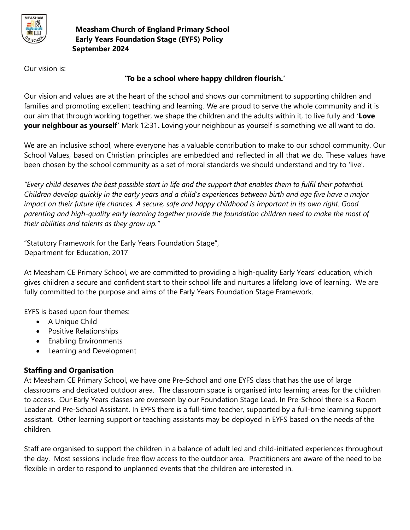

Our vision is:

## **'To be a school where happy children flourish.'**

Our vision and values are at the heart of the school and shows our commitment to supporting children and families and promoting excellent teaching and learning. We are proud to serve the whole community and it is our aim that through working together, we shape the children and the adults within it, to live fully and '**Love your neighbour as yourself'** Mark 12:31**.** Loving your neighbour as yourself is something we all want to do.

We are an inclusive school, where everyone has a valuable contribution to make to our school community. Our School Values, based on Christian principles are embedded and reflected in all that we do. These values have been chosen by the school community as a set of moral standards we should understand and try to 'live'.

*"Every child deserves the best possible start in life and the support that enables them to fulfil their potential. Children develop quickly in the early years and a child's experiences between birth and age five have a major impact on their future life chances. A secure, safe and happy childhood is important in its own right. Good parenting and high-quality early learning together provide the foundation children need to make the most of their abilities and talents as they grow up."*

"Statutory Framework for the Early Years Foundation Stage", Department for Education, 2017

At Measham CE Primary School, we are committed to providing a high-quality Early Years' education, which gives children a secure and confident start to their school life and nurtures a lifelong love of learning. We are fully committed to the purpose and aims of the Early Years Foundation Stage Framework.

EYFS is based upon four themes:

- A Unique Child
- **•** Positive Relationships
- Enabling Environments
- Learning and Development

# **Staffing and Organisation**

At Measham CE Primary School, we have one Pre-School and one EYFS class that has the use of large classrooms and dedicated outdoor area. The classroom space is organised into learning areas for the children to access. Our Early Years classes are overseen by our Foundation Stage Lead. In Pre-School there is a Room Leader and Pre-School Assistant. In EYFS there is a full-time teacher, supported by a full-time learning support assistant. Other learning support or teaching assistants may be deployed in EYFS based on the needs of the children.

Staff are organised to support the children in a balance of adult led and child-initiated experiences throughout the day. Most sessions include free flow access to the outdoor area. Practitioners are aware of the need to be flexible in order to respond to unplanned events that the children are interested in.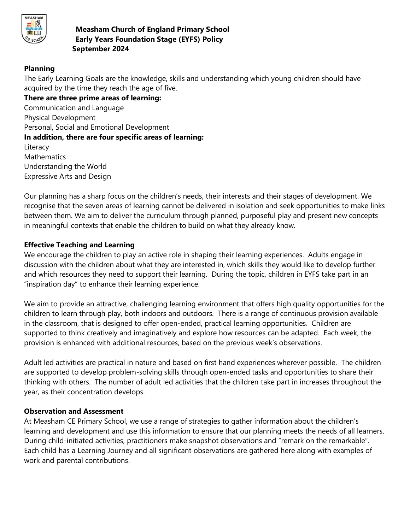

## **Planning**

The Early Learning Goals are the knowledge, skills and understanding which young children should have acquired by the time they reach the age of five.

**There are three prime areas of learning:** Communication and Language Physical Development Personal, Social and Emotional Development **In addition, there are four specific areas of learning:** Literacy Mathematics Understanding the World Expressive Arts and Design

Our planning has a sharp focus on the children's needs, their interests and their stages of development. We recognise that the seven areas of learning cannot be delivered in isolation and seek opportunities to make links between them. We aim to deliver the curriculum through planned, purposeful play and present new concepts in meaningful contexts that enable the children to build on what they already know.

## **Effective Teaching and Learning**

We encourage the children to play an active role in shaping their learning experiences. Adults engage in discussion with the children about what they are interested in, which skills they would like to develop further and which resources they need to support their learning. During the topic, children in EYFS take part in an "inspiration day" to enhance their learning experience.

We aim to provide an attractive, challenging learning environment that offers high quality opportunities for the children to learn through play, both indoors and outdoors. There is a range of continuous provision available in the classroom, that is designed to offer open-ended, practical learning opportunities. Children are supported to think creatively and imaginatively and explore how resources can be adapted. Each week, the provision is enhanced with additional resources, based on the previous week's observations.

Adult led activities are practical in nature and based on first hand experiences wherever possible. The children are supported to develop problem-solving skills through open-ended tasks and opportunities to share their thinking with others. The number of adult led activities that the children take part in increases throughout the year, as their concentration develops.

## **Observation and Assessment**

At Measham CE Primary School, we use a range of strategies to gather information about the children's learning and development and use this information to ensure that our planning meets the needs of all learners. During child-initiated activities, practitioners make snapshot observations and "remark on the remarkable". Each child has a Learning Journey and all significant observations are gathered here along with examples of work and parental contributions.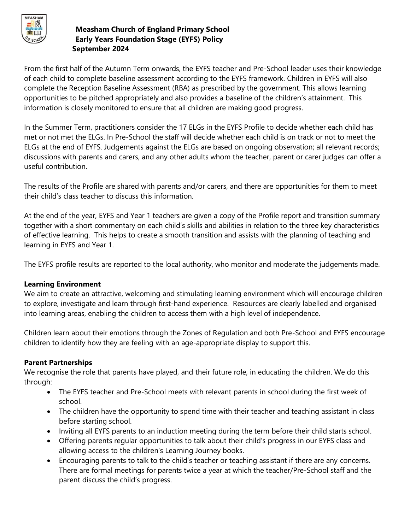

From the first half of the Autumn Term onwards, the EYFS teacher and Pre-School leader uses their knowledge of each child to complete baseline assessment according to the EYFS framework. Children in EYFS will also complete the Reception Baseline Assessment (RBA) as prescribed by the government. This allows learning opportunities to be pitched appropriately and also provides a baseline of the children's attainment. This information is closely monitored to ensure that all children are making good progress.

In the Summer Term, practitioners consider the 17 ELGs in the EYFS Profile to decide whether each child has met or not met the ELGs. In Pre-School the staff will decide whether each child is on track or not to meet the ELGs at the end of EYFS. Judgements against the ELGs are based on ongoing observation; all relevant records; discussions with parents and carers, and any other adults whom the teacher, parent or carer judges can offer a useful contribution.

The results of the Profile are shared with parents and/or carers, and there are opportunities for them to meet their child's class teacher to discuss this information.

At the end of the year, EYFS and Year 1 teachers are given a copy of the Profile report and transition summary together with a short commentary on each child's skills and abilities in relation to the three key characteristics of effective learning. This helps to create a smooth transition and assists with the planning of teaching and learning in EYFS and Year 1.

The EYFS profile results are reported to the local authority, who monitor and moderate the judgements made.

## **Learning Environment**

We aim to create an attractive, welcoming and stimulating learning environment which will encourage children to explore, investigate and learn through first-hand experience. Resources are clearly labelled and organised into learning areas, enabling the children to access them with a high level of independence.

Children learn about their emotions through the Zones of Regulation and both Pre-School and EYFS encourage children to identify how they are feeling with an age-appropriate display to support this.

## **Parent Partnerships**

We recognise the role that parents have played, and their future role, in educating the children. We do this through:

- The EYFS teacher and Pre-School meets with relevant parents in school during the first week of school.
- The children have the opportunity to spend time with their teacher and teaching assistant in class before starting school.
- Inviting all EYFS parents to an induction meeting during the term before their child starts school.
- Offering parents regular opportunities to talk about their child's progress in our EYFS class and allowing access to the children's Learning Journey books.
- Encouraging parents to talk to the child's teacher or teaching assistant if there are any concerns. There are formal meetings for parents twice a year at which the teacher/Pre-School staff and the parent discuss the child's progress.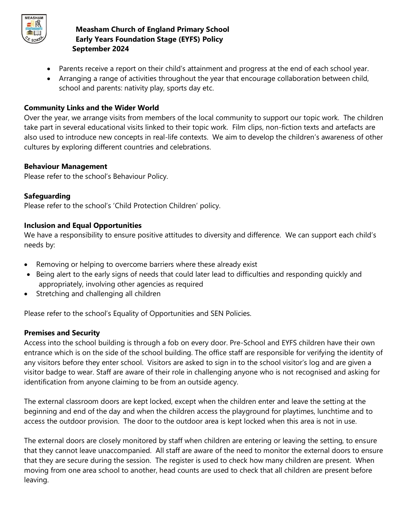

- Parents receive a report on their child's attainment and progress at the end of each school year.
- Arranging a range of activities throughout the year that encourage collaboration between child, school and parents: nativity play, sports day etc.

## **Community Links and the Wider World**

Over the year, we arrange visits from members of the local community to support our topic work. The children take part in several educational visits linked to their topic work. Film clips, non-fiction texts and artefacts are also used to introduce new concepts in real-life contexts. We aim to develop the children's awareness of other cultures by exploring different countries and celebrations.

## **Behaviour Management**

Please refer to the school's Behaviour Policy.

## **Safeguarding**

Please refer to the school's 'Child Protection Children' policy.

## **Inclusion and Equal Opportunities**

We have a responsibility to ensure positive attitudes to diversity and difference. We can support each child's needs by:

- Removing or helping to overcome barriers where these already exist
- Being alert to the early signs of needs that could later lead to difficulties and responding quickly and appropriately, involving other agencies as required
- Stretching and challenging all children

Please refer to the school's Equality of Opportunities and SEN Policies.

## **Premises and Security**

Access into the school building is through a fob on every door. Pre-School and EYFS children have their own entrance which is on the side of the school building. The office staff are responsible for verifying the identity of any visitors before they enter school. Visitors are asked to sign in to the school visitor's log and are given a visitor badge to wear. Staff are aware of their role in challenging anyone who is not recognised and asking for identification from anyone claiming to be from an outside agency.

The external classroom doors are kept locked, except when the children enter and leave the setting at the beginning and end of the day and when the children access the playground for playtimes, lunchtime and to access the outdoor provision. The door to the outdoor area is kept locked when this area is not in use.

The external doors are closely monitored by staff when children are entering or leaving the setting, to ensure that they cannot leave unaccompanied. All staff are aware of the need to monitor the external doors to ensure that they are secure during the session. The register is used to check how many children are present. When moving from one area school to another, head counts are used to check that all children are present before leaving.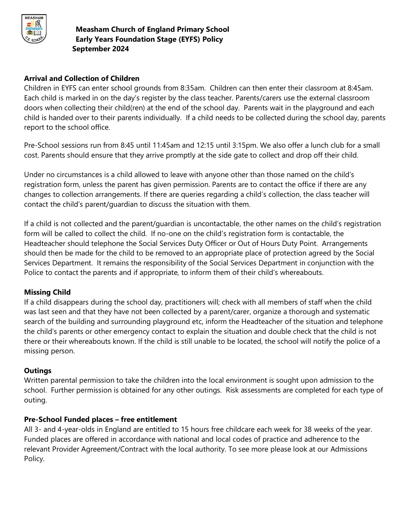

## **Arrival and Collection of Children**

Children in EYFS can enter school grounds from 8:35am. Children can then enter their classroom at 8:45am. Each child is marked in on the day's register by the class teacher. Parents/carers use the external classroom doors when collecting their child(ren) at the end of the school day. Parents wait in the playground and each child is handed over to their parents individually. If a child needs to be collected during the school day, parents report to the school office.

Pre-School sessions run from 8:45 until 11:45am and 12:15 until 3:15pm. We also offer a lunch club for a small cost. Parents should ensure that they arrive promptly at the side gate to collect and drop off their child.

Under no circumstances is a child allowed to leave with anyone other than those named on the child's registration form, unless the parent has given permission. Parents are to contact the office if there are any changes to collection arrangements. If there are queries regarding a child's collection, the class teacher will contact the child's parent/guardian to discuss the situation with them.

If a child is not collected and the parent/guardian is uncontactable, the other names on the child's registration form will be called to collect the child. If no-one on the child's registration form is contactable, the Headteacher should telephone the Social Services Duty Officer or Out of Hours Duty Point. Arrangements should then be made for the child to be removed to an appropriate place of protection agreed by the Social Services Department. It remains the responsibility of the Social Services Department in conjunction with the Police to contact the parents and if appropriate, to inform them of their child's whereabouts.

## **Missing Child**

If a child disappears during the school day, practitioners will; check with all members of staff when the child was last seen and that they have not been collected by a parent/carer, organize a thorough and systematic search of the building and surrounding playground etc, inform the Headteacher of the situation and telephone the child's parents or other emergency contact to explain the situation and double check that the child is not there or their whereabouts known. If the child is still unable to be located, the school will notify the police of a missing person.

## **Outings**

Written parental permission to take the children into the local environment is sought upon admission to the school. Further permission is obtained for any other outings. Risk assessments are completed for each type of outing.

## **Pre-School Funded places – free entitlement**

All 3- and 4-year-olds in England are entitled to 15 hours free childcare each week for 38 weeks of the year. Funded places are offered in accordance with national and local codes of practice and adherence to the relevant Provider Agreement/Contract with the local authority. To see more please look at our Admissions Policy.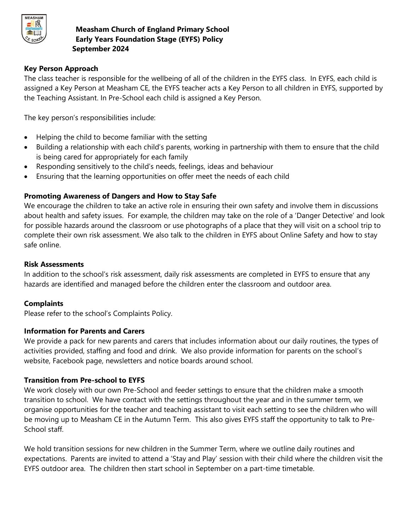

## **Key Person Approach**

The class teacher is responsible for the wellbeing of all of the children in the EYFS class. In EYFS, each child is assigned a Key Person at Measham CE, the EYFS teacher acts a Key Person to all children in EYFS, supported by the Teaching Assistant. In Pre-School each child is assigned a Key Person.

The key person's responsibilities include:

- Helping the child to become familiar with the setting
- Building a relationship with each child's parents, working in partnership with them to ensure that the child is being cared for appropriately for each family
- Responding sensitively to the child's needs, feelings, ideas and behaviour
- Ensuring that the learning opportunities on offer meet the needs of each child

## **Promoting Awareness of Dangers and How to Stay Safe**

We encourage the children to take an active role in ensuring their own safety and involve them in discussions about health and safety issues. For example, the children may take on the role of a 'Danger Detective' and look for possible hazards around the classroom or use photographs of a place that they will visit on a school trip to complete their own risk assessment. We also talk to the children in EYFS about Online Safety and how to stay safe online.

#### **Risk Assessments**

In addition to the school's risk assessment, daily risk assessments are completed in EYFS to ensure that any hazards are identified and managed before the children enter the classroom and outdoor area.

## **Complaints**

Please refer to the school's Complaints Policy.

## **Information for Parents and Carers**

We provide a pack for new parents and carers that includes information about our daily routines, the types of activities provided, staffing and food and drink. We also provide information for parents on the school's website, Facebook page, newsletters and notice boards around school.

## **Transition from Pre-school to EYFS**

We work closely with our own Pre-School and feeder settings to ensure that the children make a smooth transition to school. We have contact with the settings throughout the year and in the summer term, we organise opportunities for the teacher and teaching assistant to visit each setting to see the children who will be moving up to Measham CE in the Autumn Term. This also gives EYFS staff the opportunity to talk to Pre-School staff.

We hold transition sessions for new children in the Summer Term, where we outline daily routines and expectations. Parents are invited to attend a 'Stay and Play' session with their child where the children visit the EYFS outdoor area. The children then start school in September on a part-time timetable.